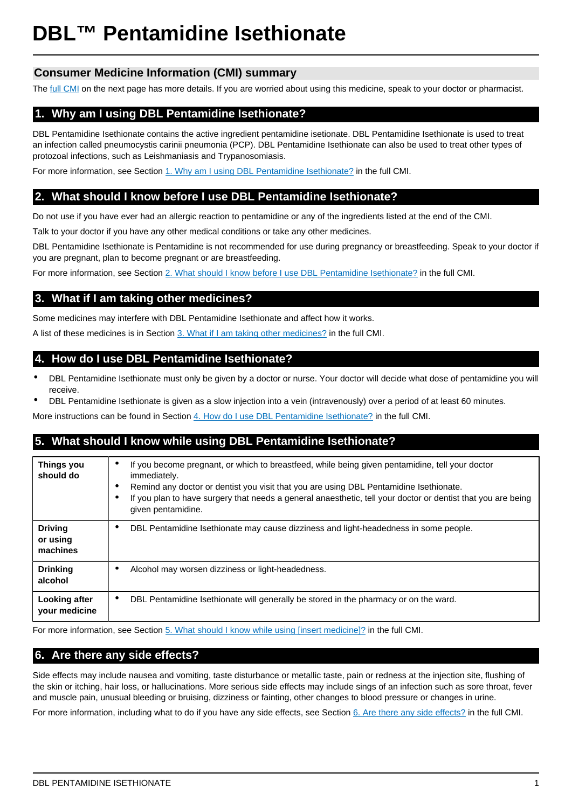# **BL™ Pentamidine Isethionate**

## **Consumer Medicine Information (CMI) summary**

The [full CMI](#page-1-0) on the next page has more details. If you are worried about using this medicine, speak to your doctor or pharmacist.

# **1. Why am I using DBL Pentamidine Isethionate?**

DBL Pentamidine Isethionate contains the active ingredient pentamidine isetionate. DBL Pentamidine Isethionate is used to treat an infection called pneumocystis carinii pneumonia (PCP). DBL Pentamidine Isethionate can also be used to treat other types of protozoal infections, such as Leishmaniasis and Trypanosomiasis.

For more information, see Section [1. Why am I using DBL Pentamidine Isethionate?](#page-1-1) in the full CMI.

# **2. What should I know before I use DBL Pentamidine Isethionate?**

Do not use if you have ever had an allergic reaction to pentamidine or any of the ingredients listed at the end of the CMI.

Talk to your doctor if you have any other medical conditions or take any other medicines.

DBL Pentamidine Isethionate is Pentamidine is not recommended for use during pregnancy or breastfeeding. Speak to your doctor if you are pregnant, plan to become pregnant or are breastfeeding.

For more information, see Section [2. What should I know before I use DBL Pentamidine Isethionate?](#page-1-2) in the full CMI.

## **3. What if I am taking other medicines?**

Some medicines may interfere with DBL Pentamidine Isethionate and affect how it works.

A list of these medicines is in Section [3. What if I am taking other medicines?](#page-1-3) in the full CMI.

## **4. How do I use DBL Pentamidine Isethionate?**

- DBL Pentamidine Isethionate must only be given by a doctor or nurse. Your doctor will decide what dose of pentamidine you will receive.
- DBL Pentamidine Isethionate is given as a slow injection into a vein (intravenously) over a period of at least 60 minutes.

More instructions can be found in Section [4. How do I use DBL Pentamidine Isethionate?](#page-1-4) in the full CMI.

## **5. What should I know while using DBL Pentamidine Isethionate?**

| Things you<br>should do                | If you become pregnant, or which to breastfeed, while being given pentamidine, tell your doctor<br>٠<br>immediately.<br>Remind any doctor or dentist you visit that you are using DBL Pentamidine Isethionate.<br>٠<br>If you plan to have surgery that needs a general anaesthetic, tell your doctor or dentist that you are being<br>given pentamidine. |  |
|----------------------------------------|-----------------------------------------------------------------------------------------------------------------------------------------------------------------------------------------------------------------------------------------------------------------------------------------------------------------------------------------------------------|--|
| <b>Driving</b><br>or using<br>machines | DBL Pentamidine Isethionate may cause dizziness and light-headedness in some people.<br>٠                                                                                                                                                                                                                                                                 |  |
| <b>Drinking</b>                        | Alcohol may worsen dizziness or light-headedness.                                                                                                                                                                                                                                                                                                         |  |
| alcohol                                | ٠                                                                                                                                                                                                                                                                                                                                                         |  |
| Looking after                          | DBL Pentamidine Isethionate will generally be stored in the pharmacy or on the ward.                                                                                                                                                                                                                                                                      |  |
| your medicine                          | $\bullet$                                                                                                                                                                                                                                                                                                                                                 |  |

For more information, see Section [5. What should I know while using \[insert medicine\]?](#page-2-0) in the full CMI.

# **6. Are there any side effects?**

Side effects may include nausea and vomiting, taste disturbance or metallic taste, pain or redness at the injection site, flushing of the skin or itching, hair loss, or hallucinations. More serious side effects may include sings of an infection such as sore throat, fever and muscle pain, unusual bleeding or bruising, dizziness or fainting, other changes to blood pressure or changes in urine.

For more information, including what to do if you have any side effects, see Section [6. Are there any side effects?](#page-2-1) in the full CMI.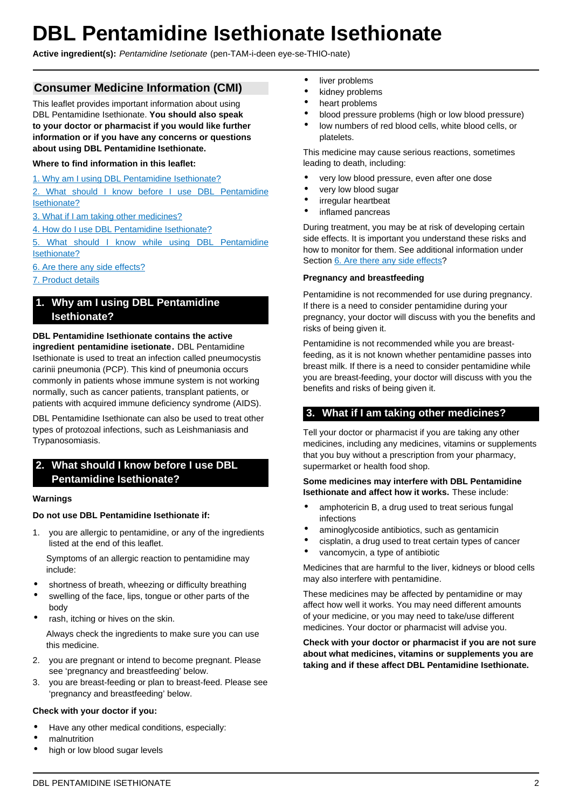# <span id="page-1-0"></span>**DBL Pentamidine Isethionate Isethionate**

**Active ingredient(s):** Pentamidine Isetionate (pen-TAM-i-deen eye-se-THIO-nate)

## **Consumer Medicine Information (CMI)**

This leaflet provides important information about using DBL Pentamidine Isethionate. **You should also speak to your doctor or pharmacist if you would like further information or if you have any concerns or questions about using DBL Pentamidine Isethionate.**

## **Where to find information in this leaflet:**

[1. Why am I using DBL Pentamidine Isethionate?](#page-1-1)

[2. What should I know before I use DBL Pentamidine](#page-1-2) [Isethionate?](#page-1-2)

[3. What if I am taking other medicines?](#page-1-3)

[4. How do I use DBL Pentamidine Isethionate?](#page-1-4)

[5. What should I know while using DBL Pentamidine](#page-2-0) [Isethionate?](#page-2-0)

[6. Are there any side effects?](#page-2-1)

### [7. Product details](#page-3-0)

## <span id="page-1-1"></span>**1. Why am I using DBL Pentamidine Isethionate?**

#### **DBL Pentamidine Isethionate contains the active**

**ingredient pentamidine isetionate.** DBL Pentamidine Isethionate is used to treat an infection called pneumocystis carinii pneumonia (PCP). This kind of pneumonia occurs commonly in patients whose immune system is not working normally, such as cancer patients, transplant patients, or patients with acquired immune deficiency syndrome (AIDS).

DBL Pentamidine Isethionate can also be used to treat other types of protozoal infections, such as Leishmaniasis and Trypanosomiasis.

## <span id="page-1-2"></span>**2. What should I know before I use DBL Pentamidine Isethionate?**

#### **Warnings**

#### **Do not use DBL Pentamidine Isethionate if:**

1. you are allergic to pentamidine, or any of the ingredients listed at the end of this leaflet.

Symptoms of an allergic reaction to pentamidine may include:

- shortness of breath, wheezing or difficulty breathing
- swelling of the face, lips, tongue or other parts of the body
- rash, itching or hives on the skin.

Always check the ingredients to make sure you can use this medicine.

- 2. you are pregnant or intend to become pregnant. Please see 'pregnancy and breastfeeding' below.
- 3. you are breast-feeding or plan to breast-feed. Please see 'pregnancy and breastfeeding' below.

#### **Check with your doctor if you:**

- Have any other medical conditions, especially:
- malnutrition
- high or low blood sugar levels
- liver problems
- kidney problems
- heart problems
- blood pressure problems (high or low blood pressure)
- low numbers of red blood cells, white blood cells, or platelets.

This medicine may cause serious reactions, sometimes leading to death, including:

- very low blood pressure, even after one dose
- very low blood sugar
- irregular heartbeat
- inflamed pancreas

During treatment, you may be at risk of developing certain side effects. It is important you understand these risks and how to monitor for them. See additional information under Section [6. Are there any side effects](#page-2-1)?

#### **Pregnancy and breastfeeding**

Pentamidine is not recommended for use during pregnancy. If there is a need to consider pentamidine during your pregnancy, your doctor will discuss with you the benefits and risks of being given it.

Pentamidine is not recommended while you are breastfeeding, as it is not known whether pentamidine passes into breast milk. If there is a need to consider pentamidine while you are breast-feeding, your doctor will discuss with you the benefits and risks of being given it.

## <span id="page-1-3"></span>**3. What if I am taking other medicines?**

Tell your doctor or pharmacist if you are taking any other medicines, including any medicines, vitamins or supplements that you buy without a prescription from your pharmacy, supermarket or health food shop.

#### **Some medicines may interfere with DBL Pentamidine Isethionate and affect how it works.** These include:

- amphotericin B, a drug used to treat serious fungal infections
- aminoglycoside antibiotics, such as gentamicin
- cisplatin, a drug used to treat certain types of cancer
- vancomycin, a type of antibiotic

Medicines that are harmful to the liver, kidneys or blood cells may also interfere with pentamidine.

These medicines may be affected by pentamidine or may affect how well it works. You may need different amounts of your medicine, or you may need to take/use different medicines. Your doctor or pharmacist will advise you.

<span id="page-1-4"></span>**Check with your doctor or pharmacist if you are not sure about what medicines, vitamins or supplements you are taking and if these affect DBL Pentamidine Isethionate.**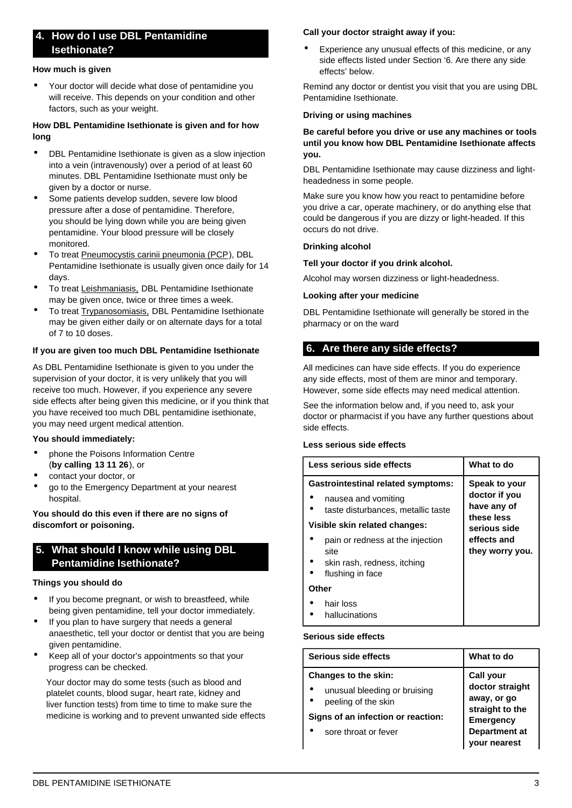## **4. How do I use DBL Pentamidine Isethionate?**

#### **How much is given**

• Your doctor will decide what dose of pentamidine you will receive. This depends on your condition and other factors, such as your weight.

### **How DBL Pentamidine Isethionate is given and for how long**

- DBL Pentamidine Isethionate is given as a slow injection into a vein (intravenously) over a period of at least 60 minutes. DBL Pentamidine Isethionate must only be given by a doctor or nurse.
- Some patients develop sudden, severe low blood pressure after a dose of pentamidine. Therefore, you should be lying down while you are being given pentamidine. Your blood pressure will be closely monitored.
- To treat Pneumocystis carinii pneumonia (PCP), DBL Pentamidine Isethionate is usually given once daily for 14 days.
- To treat Leishmaniasis, DBL Pentamidine Isethionate may be given once, twice or three times a week.
- To treat Trypanosomiasis, DBL Pentamidine Isethionate may be given either daily or on alternate days for a total of 7 to 10 doses.

### **If you are given too much DBL Pentamidine Isethionate**

As DBL Pentamidine Isethionate is given to you under the supervision of your doctor, it is very unlikely that you will receive too much. However, if you experience any severe side effects after being given this medicine, or if you think that you have received too much DBL pentamidine isethionate, you may need urgent medical attention.

#### **You should immediately:**

- phone the Poisons Information Centre (**by calling 13 11 26**), or
- contact your doctor, or
- go to the Emergency Department at your nearest hospital.

#### **You should do this even if there are no signs of discomfort or poisoning.**

## <span id="page-2-0"></span>**5. What should I know while using DBL Pentamidine Isethionate?**

#### **Things you should do**

- If you become pregnant, or wish to breastfeed, while being given pentamidine, tell your doctor immediately.
- If you plan to have surgery that needs a general anaesthetic, tell your doctor or dentist that you are being given pentamidine.
- Keep all of your doctor's appointments so that your progress can be checked.

Your doctor may do some tests (such as blood and platelet counts, blood sugar, heart rate, kidney and liver function tests) from time to time to make sure the medicine is working and to prevent unwanted side effects

### **Call your doctor straight away if you:**

Experience any unusual effects of this medicine, or any side effects listed under Section '6. Are there any side effects' below.

Remind any doctor or dentist you visit that you are using DBL Pentamidine Isethionate.

#### **Driving or using machines**

#### **Be careful before you drive or use any machines or tools until you know how DBL Pentamidine Isethionate affects you.**

DBL Pentamidine Isethionate may cause dizziness and lightheadedness in some people.

Make sure you know how you react to pentamidine before you drive a car, operate machinery, or do anything else that could be dangerous if you are dizzy or light-headed. If this occurs do not drive.

#### **Drinking alcohol**

#### **Tell your doctor if you drink alcohol.**

Alcohol may worsen dizziness or light-headedness.

#### **Looking after your medicine**

DBL Pentamidine Isethionate will generally be stored in the pharmacy or on the ward

## <span id="page-2-1"></span>**6. Are there any side effects?**

All medicines can have side effects. If you do experience any side effects, most of them are minor and temporary. However, some side effects may need medical attention.

See the information below and, if you need to, ask your doctor or pharmacist if you have any further questions about side effects.

#### **Less serious side effects**

| Less serious side effects                                                                              | What to do                                                  |
|--------------------------------------------------------------------------------------------------------|-------------------------------------------------------------|
| <b>Gastrointestinal related symptoms:</b><br>nausea and vomiting<br>taste disturbances, metallic taste | Speak to your<br>doctor if you<br>have any of<br>these less |
| Visible skin related changes:                                                                          | serious side                                                |
| pain or redness at the injection<br>site<br>skin rash, redness, itching<br>flushing in face            | effects and<br>they worry you.                              |
| Other                                                                                                  |                                                             |
| hair loss<br>hallucinations                                                                            |                                                             |

### **Serious side effects**

| Serious side effects                                | What to do                          |  |
|-----------------------------------------------------|-------------------------------------|--|
| Changes to the skin:                                | <b>Call your</b><br>doctor straight |  |
| unusual bleeding or bruising<br>peeling of the skin | away, or go<br>straight to the      |  |
| Signs of an infection or reaction:                  | <b>Emergency</b>                    |  |
| sore throat or fever                                | <b>Department</b> at                |  |

**your nearest**